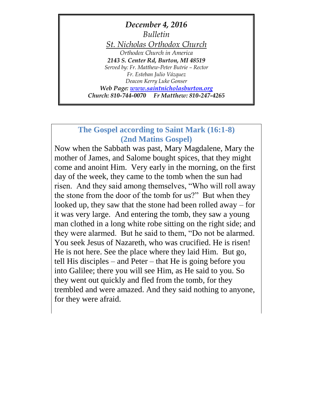*December 4, 2016 Bulletin St. Nicholas Orthodox Church Orthodox Church in America 2143 S. Center Rd, Burton, MI 48519 Served by: Fr. Matthew-Peter Butrie – Rector Fr. Esteban Julio Vázquez Deacon Kerry Luke Gonser Web Page: [www.saintnicholasburton.org](http://www.saintnicholasburton.org/) Church: 810-744-0070 Fr Matthew: 810-247-4265*

# **The Gospel according to Saint Mark (16:1-8) (2nd Matins Gospel)**

Now when the Sabbath was past, Mary Magdalene, Mary the mother of James, and Salome bought spices, that they might come and anoint Him. Very early in the morning, on the first day of the week, they came to the tomb when the sun had risen. And they said among themselves, "Who will roll away the stone from the door of the tomb for us?" But when they looked up, they saw that the stone had been rolled away – for it was very large. And entering the tomb, they saw a young man clothed in a long white robe sitting on the right side; and they were alarmed. But he said to them, "Do not be alarmed. You seek Jesus of Nazareth, who was crucified. He is risen! He is not here. See the place where they laid Him. But go, tell His disciples – and Peter – that He is going before you into Galilee; there you will see Him, as He said to you. So they went out quickly and fled from the tomb, for they trembled and were amazed. And they said nothing to anyone, for they were afraid.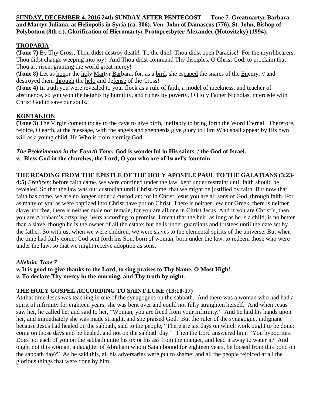### **SUNDAY, DECEMBER 4, 2016 24th SUNDAY AFTER PENTECOST — Tone 7. Greatmartyr Barbara and Martyr Juliana, at Heliopolis in Syria (ca. 306). Ven. John of Damascus (776). St. John, Bishop of Polybotum (8th c.). Glorification of Hieromartyr Protopresbyter Alexander (Hotovitzky) (1994).**

# **TROPARIA**

**(Tone 7)** By Thy Cross, Thou didst destroy death! To the thief, Thou didst open Paradise! For the myrrhbearers, Thou didst change weeping into joy! And Thou didst command Thy disciples, O Christ God, to proclaim that Thou art risen, granting the world great mercy!

**(Tone 8)** Let us honor the holy Martyr Barbara, for, as a bird, she escaped the snares of the Enemy, // and destroyed them through the help and defense of the Cross!

**(Tone 4)** In truth you were revealed to your flock as a rule of faith, a model of meekness, and teacher of abstinence, so you won the heights by humility, and riches by poverty, O Holy Father Nicholas, intercede with Christ God to save our souls.

# **KONTAKION**

**(Tone 3)** The Virgin cometh today to the cave to give birth, ineffably to bring forth the Word Eternal. Therefore, rejoice, O earth, at the message, with the angels and shepherds give glory to Him Who shall appear by His own will as a young child, He Who is from eternity God.

#### *The Prokeimenon in the Fourth Tone:* **God is wonderful in His saints, / the God of Israel.** *v:* **Bless God in the churches, the Lord, O you who are of Israel's fountain.**

# **THE READING FROM THE EPISTLE OF THE HOLY APOSTLE PAUL TO THE GALATIANS (3:23-**

**4:5)** *Brethren*: before faith came, we were confined under the law, kept under restraint until faith should be revealed. So that the law was our custodian until Christ came, that we might be justified by faith. But now that faith has come, we are no longer under a custodian; for in Christ Jesus you are all sons of God, through faith. For as many of you as were baptized into Christ have put on Christ. There is neither Jew nor Greek, there is neither slave nor free, there is neither male nor female; for you are all one in Christ Jesus. And if you are Christ's, then you are Abraham's offspring, heirs according to promise. I mean that the heir, as long as he is a child, is no better than a slave, though he is the owner of all the estate; but he is under guardians and trustees until the date set by the father. So with us; when we were children, we were slaves to the elemental spirits of the universe. But when the time had fully come, God sent forth his Son, born of woman, born under the law, to redeem those who were under the law, so that we might receive adoption as sons.

### *Alleluia, Tone 7*

*v.* **It is good to give thanks to the Lord, to sing praises to Thy Name, O Most High!**

*v.* **To declare Thy mercy in the morning, and Thy truth by night.**

### **THE HOLY GOSPEL ACCORDING TO SAINT LUKE (13:10-17)**

At that time Jesus was teaching in one of the synagogues on the sabbath. And there was a woman who had had a spirit of infirmity for eighteen years; she was bent over and could not fully straighten herself. And when Jesus saw her, he called her and said to her, "Woman, you are freed from your infirmity." And he laid his hands upon her, and immediately she was made straight, and she praised God. But the ruler of the synagogue, indignant because Jesus had healed on the sabbath, said to the people, "There are six days on which work ought to be done; come on those days and be healed, and not on the sabbath day." Then the Lord answered him, "You hypocrites! Does not each of you on the sabbath untie his ox or his ass from the manger, and lead it away to water it? And ought not this woman, a daughter of Abraham whom Satan bound for eighteen years, be loosed from this bond on the sabbath day?" As he said this, all his adversaries were put to shame; and all the people rejoiced at all the glorious things that were done by him.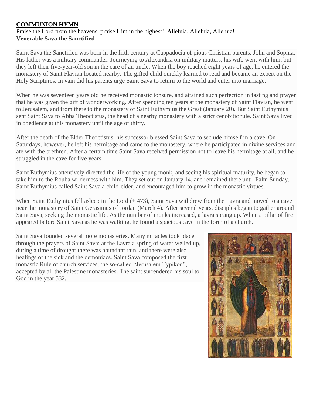# **COMMUNION HYMN**

### Praise the Lord from the heavens, praise Him in the highest! Alleluia, Alleluia, Alleluia! **Venerable Sava the Sanctified**

Saint Sava the Sanctified was born in the fifth century at Cappadocia of pious Christian parents, John and Sophia. His father was a military commander. Journeying to Alexandria on military matters, his wife went with him, but they left their five-year-old son in the care of an uncle. When the boy reached eight years of age, he entered the monastery of Saint Flavian located nearby. The gifted child quickly learned to read and became an expert on the Holy Scriptures. In vain did his parents urge Saint Sava to return to the world and enter into marriage.

When he was seventeen years old he received monastic tonsure, and attained such perfection in fasting and prayer that he was given the gift of wonderworking. After spending ten years at the monastery of Saint Flavian, he went to Jerusalem, and from there to the monastery of Saint Euthymius the Great (January 20). But Saint Euthymius sent Saint Sava to Abba Theoctistus, the head of a nearby monastery with a strict cenobitic rule. Saint Sava lived in obedience at this monastery until the age of thirty.

After the death of the Elder Theoctistus, his successor blessed Saint Sava to seclude himself in a cave. On Saturdays, however, he left his hermitage and came to the monastery, where he participated in divine services and ate with the brethren. After a certain time Saint Sava received permission not to leave his hermitage at all, and he struggled in the cave for five years.

Saint Euthymius attentively directed the life of the young monk, and seeing his spiritual maturity, he began to take him to the Rouba wilderness with him. They set out on January 14, and remained there until Palm Sunday. Saint Euthymius called Saint Sava a child-elder, and encouraged him to grow in the monastic virtues.

When Saint Euthymius fell asleep in the Lord (+473), Saint Sava withdrew from the Lavra and moved to a cave near the monastery of Saint Gerasimus of Jordan (March 4). After several years, disciples began to gather around Saint Sava, seeking the monastic life. As the number of monks increased, a lavra sprang up. When a pillar of fire appeared before Saint Sava as he was walking, he found a spacious cave in the form of a church.

Saint Sava founded several more monasteries. Many miracles took place through the prayers of Saint Sava: at the Lavra a spring of water welled up, during a time of drought there was abundant rain, and there were also healings of the sick and the demoniacs. Saint Sava composed the first monastic Rule of church services, the so-called "Jerusalem Typikon", accepted by all the Palestine monasteries. The saint surrendered his soul to God in the year 532.

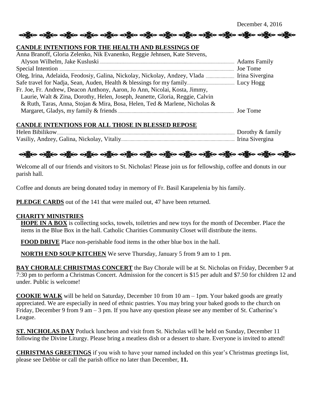ခရိုးစ ခရိုးစ ခရိုးစ ခရိုးစ ခရိုးစ ခရိုးစ ခရိုးစ ခရိုးစ ခရိုးစ ခရိုးစ ခရိုးစ ခရိုးစ ခရိုးစ ခရိုးစ

#### **CANDLE INTENTIONS FOR THE HEALTH AND BLESSINGS OF**

| Anna Branoff, Gloria Zelenko, Nik Evanenko, Reggie Jehnsen, Kate Stevens,     |  |
|-------------------------------------------------------------------------------|--|
|                                                                               |  |
|                                                                               |  |
|                                                                               |  |
|                                                                               |  |
| Fr. Joe, Fr. Andrew, Deacon Anthony, Aaron, Jo Ann, Nicolai, Kosta, Jimmy,    |  |
| Laurie, Walt & Zina, Dorothy, Helen, Joseph, Jeanette, Gloria, Reggie, Calvin |  |
| & Ruth, Taras, Anna, Stojan & Mira, Bosa, Helen, Ted & Marlene, Nicholas &    |  |
|                                                                               |  |

# **CANDLE INTENTIONS FOR ALL THOSE IN BLESSED REPOSE**

| Helen Bibilikow                             | Dorothy & family |
|---------------------------------------------|------------------|
| Vasiliy, Andzey, Galina, Nickolay, Vitaliy. | Irina Sivergina  |

# လန္တြိုးေလ့ရွိပဲေလ့ရွိပဲေလ့ရွိပဲေလ့ရွိပဲေလ့ရွိပဲေလ့ရွိပဲေလ့ရွိပဲေလ့ရွိပဲေလ့ရွိပဲေလ့ရွိပဲေလ့ရွိပဲေ

Welcome all of our friends and visitors to St. Nicholas! Please join us for fellowship, coffee and donuts in our parish hall.

Coffee and donuts are being donated today in memory of Fr. Basil Karapelenia by his family.

**PLEDGE CARDS** out of the 141 that were mailed out, 47 have been returned.

#### **CHARITY MINISTRIES**

**HOPE IN A BOX** is collecting socks, towels, toiletries and new toys for the month of December. Place the items in the Blue Box in the hall. Catholic Charities Community Closet will distribute the items.

**FOOD DRIVE** Place non-perishable food items in the other blue box in the hall.

**NORTH END SOUP KITCHEN** We serve Thursday, January 5 from 9 am to 1 pm.

**BAY CHORALE CHRISTMAS CONCERT** the Bay Chorale will be at St. Nicholas on Friday, December 9 at 7:30 pm to perform a Christmas Concert. Admission for the concert is \$15 per adult and \$7.50 for children 12 and under. Public is welcome!

**COOKIE WALK** will be held on Saturday, December 10 from 10 am – 1pm. Your baked goods are greatly appreciated. We are especially in need of ethnic pastries. You may bring your baked goods to the church on Friday, December 9 from 9 am – 3 pm. If you have any question please see any member of St. Catherine's League.

**ST. NICHOLAS DAY** Potluck luncheon and visit from St. Nicholas will be held on Sunday, December 11 following the Divine Liturgy. Please bring a meatless dish or a dessert to share. Everyone is invited to attend!

**CHRISTMAS GREETINGS** if you wish to have your named included on this year's Christmas greetings list, please see Debbie or call the parish office no later than December, **11.**